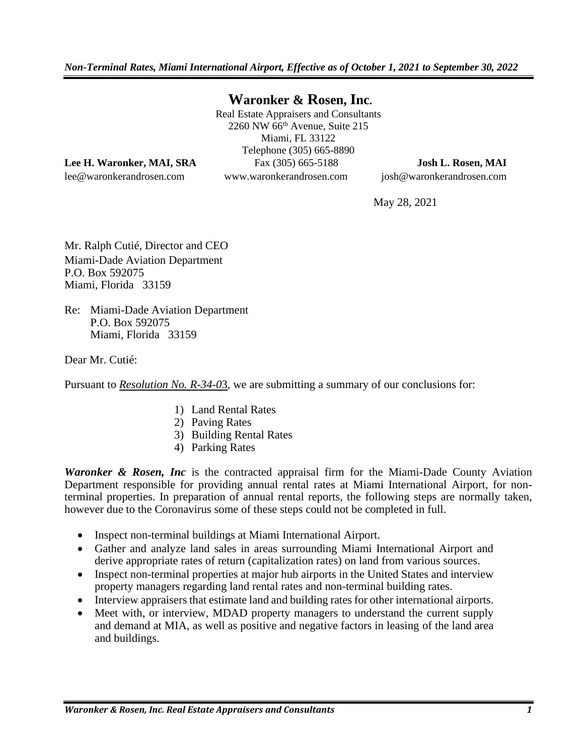*Non-Terminal Rates, Miami International Airport, Effective as of October 1, 2021 to September 30, 2022*

### **Waronker & Rosen, Inc.**

Real Estate Appraisers and Consultants 2260 NW 66th Avenue, Suite 215 Miami, FL 33122 Telephone (305) 665-8890 **Lee H. Waronker, MAI, SRA** Fax (305) 665-5188 **Josh L. Rosen, MAI**

lee@waronkerandrosen.com www.waronkerandrosen.com josh@waronkerandrosen.com

May 28, 2021

Mr. Ralph Cutié, Director and CEO Miami-Dade Aviation Department P.O. Box 592075 Miami, Florida 33159

Re: Miami-Dade Aviation Department P.O. Box 592075 Miami, Florida 33159

Dear Mr. Cutié:

Pursuant to *Resolution No. R-34-0*3, we are submitting a summary of our conclusions for:

- 1) Land Rental Rates
- 2) Paving Rates
- 3) Building Rental Rates
- 4) Parking Rates

*Waronker & Rosen, Inc* is the contracted appraisal firm for the Miami-Dade County Aviation Department responsible for providing annual rental rates at Miami International Airport, for nonterminal properties. In preparation of annual rental reports, the following steps are normally taken, however due to the Coronavirus some of these steps could not be completed in full.

- Inspect non-terminal buildings at Miami International Airport.
- Gather and analyze land sales in areas surrounding Miami International Airport and derive appropriate rates of return (capitalization rates) on land from various sources.
- Inspect non-terminal properties at major hub airports in the United States and interview property managers regarding land rental rates and non-terminal building rates.
- Interview appraisers that estimate land and building rates for other international airports.
- Meet with, or interview, MDAD property managers to understand the current supply and demand at MIA, as well as positive and negative factors in leasing of the land area and buildings.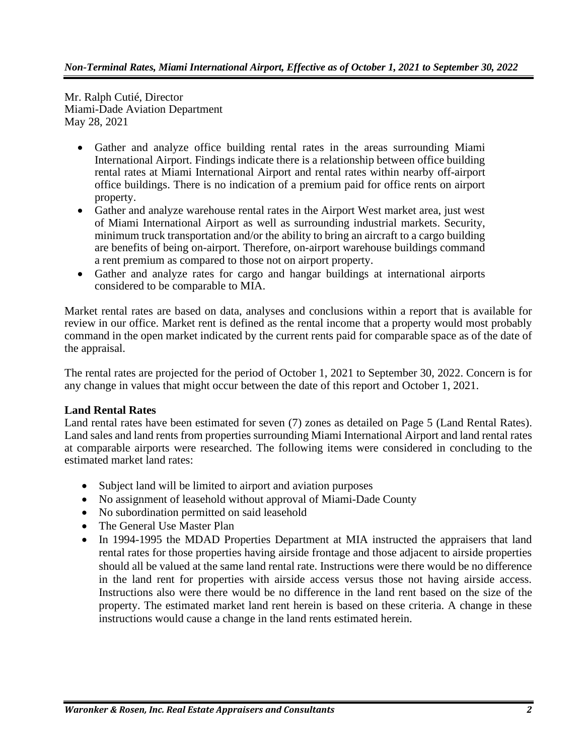Mr. Ralph Cutié, Director Miami-Dade Aviation Department May 28, 2021

- Gather and analyze office building rental rates in the areas surrounding Miami International Airport. Findings indicate there is a relationship between office building rental rates at Miami International Airport and rental rates within nearby off-airport office buildings. There is no indication of a premium paid for office rents on airport property.
- Gather and analyze warehouse rental rates in the Airport West market area, just west of Miami International Airport as well as surrounding industrial markets. Security, minimum truck transportation and/or the ability to bring an aircraft to a cargo building are benefits of being on-airport. Therefore, on-airport warehouse buildings command a rent premium as compared to those not on airport property.
- Gather and analyze rates for cargo and hangar buildings at international airports considered to be comparable to MIA.

Market rental rates are based on data, analyses and conclusions within a report that is available for review in our office. Market rent is defined as the rental income that a property would most probably command in the open market indicated by the current rents paid for comparable space as of the date of the appraisal.

The rental rates are projected for the period of October 1, 2021 to September 30, 2022. Concern is for any change in values that might occur between the date of this report and October 1, 2021.

#### **Land Rental Rates**

Land rental rates have been estimated for seven (7) zones as detailed on Page 5 (Land Rental Rates). Land sales and land rents from properties surrounding Miami International Airport and land rental rates at comparable airports were researched. The following items were considered in concluding to the estimated market land rates:

- Subject land will be limited to airport and aviation purposes
- No assignment of leasehold without approval of Miami-Dade County
- No subordination permitted on said leasehold
- The General Use Master Plan
- In 1994-1995 the MDAD Properties Department at MIA instructed the appraisers that land rental rates for those properties having airside frontage and those adjacent to airside properties should all be valued at the same land rental rate. Instructions were there would be no difference in the land rent for properties with airside access versus those not having airside access. Instructions also were there would be no difference in the land rent based on the size of the property. The estimated market land rent herein is based on these criteria. A change in these instructions would cause a change in the land rents estimated herein.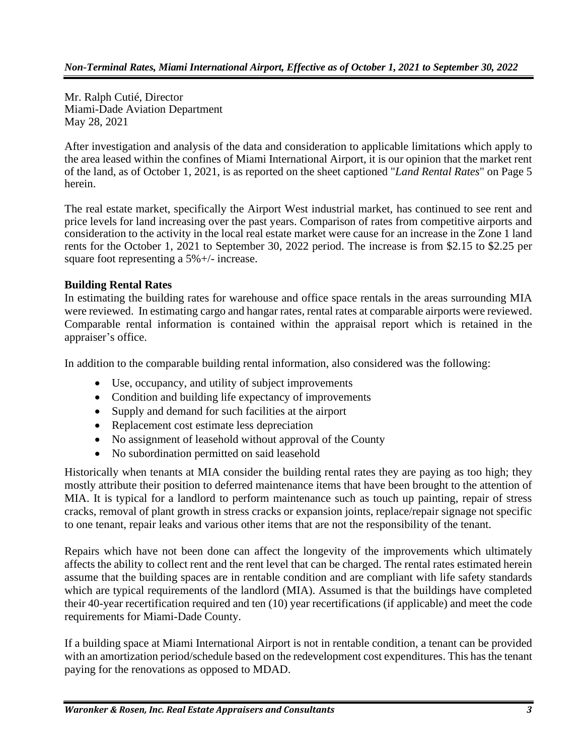Mr. Ralph Cutié, Director Miami-Dade Aviation Department May 28, 2021

After investigation and analysis of the data and consideration to applicable limitations which apply to the area leased within the confines of Miami International Airport, it is our opinion that the market rent of the land, as of October 1, 2021, is as reported on the sheet captioned "*Land Rental Rates*" on Page 5 herein.

The real estate market, specifically the Airport West industrial market, has continued to see rent and price levels for land increasing over the past years. Comparison of rates from competitive airports and consideration to the activity in the local real estate market were cause for an increase in the Zone 1 land rents for the October 1, 2021 to September 30, 2022 period. The increase is from \$2.15 to \$2.25 per square foot representing a 5%+/- increase.

#### **Building Rental Rates**

In estimating the building rates for warehouse and office space rentals in the areas surrounding MIA were reviewed. In estimating cargo and hangar rates, rental rates at comparable airports were reviewed. Comparable rental information is contained within the appraisal report which is retained in the appraiser's office.

In addition to the comparable building rental information, also considered was the following:

- Use, occupancy, and utility of subject improvements
- Condition and building life expectancy of improvements
- Supply and demand for such facilities at the airport
- Replacement cost estimate less depreciation
- No assignment of leasehold without approval of the County
- No subordination permitted on said leasehold

Historically when tenants at MIA consider the building rental rates they are paying as too high; they mostly attribute their position to deferred maintenance items that have been brought to the attention of MIA. It is typical for a landlord to perform maintenance such as touch up painting, repair of stress cracks, removal of plant growth in stress cracks or expansion joints, replace/repair signage not specific to one tenant, repair leaks and various other items that are not the responsibility of the tenant.

Repairs which have not been done can affect the longevity of the improvements which ultimately affects the ability to collect rent and the rent level that can be charged. The rental rates estimated herein assume that the building spaces are in rentable condition and are compliant with life safety standards which are typical requirements of the landlord (MIA). Assumed is that the buildings have completed their 40-year recertification required and ten (10) year recertifications (if applicable) and meet the code requirements for Miami-Dade County.

If a building space at Miami International Airport is not in rentable condition, a tenant can be provided with an amortization period/schedule based on the redevelopment cost expenditures. This has the tenant paying for the renovations as opposed to MDAD.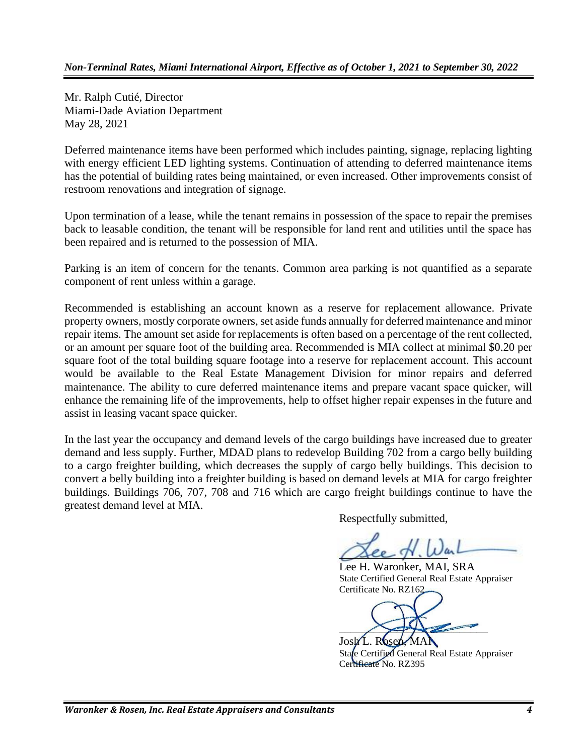Mr. Ralph Cutié, Director Miami-Dade Aviation Department May 28, 2021

Deferred maintenance items have been performed which includes painting, signage, replacing lighting with energy efficient LED lighting systems. Continuation of attending to deferred maintenance items has the potential of building rates being maintained, or even increased. Other improvements consist of restroom renovations and integration of signage.

Upon termination of a lease, while the tenant remains in possession of the space to repair the premises back to leasable condition, the tenant will be responsible for land rent and utilities until the space has been repaired and is returned to the possession of MIA.

Parking is an item of concern for the tenants. Common area parking is not quantified as a separate component of rent unless within a garage.

Recommended is establishing an account known as a reserve for replacement allowance. Private property owners, mostly corporate owners, set aside funds annually for deferred maintenance and minor repair items. The amount set aside for replacements is often based on a percentage of the rent collected, or an amount per square foot of the building area. Recommended is MIA collect at minimal \$0.20 per square foot of the total building square footage into a reserve for replacement account. This account would be available to the Real Estate Management Division for minor repairs and deferred maintenance. The ability to cure deferred maintenance items and prepare vacant space quicker, will enhance the remaining life of the improvements, help to offset higher repair expenses in the future and assist in leasing vacant space quicker.

In the last year the occupancy and demand levels of the cargo buildings have increased due to greater demand and less supply. Further, MDAD plans to redevelop Building 702 from a cargo belly building to a cargo freighter building, which decreases the supply of cargo belly buildings. This decision to convert a belly building into a freighter building is based on demand levels at MIA for cargo freighter buildings. Buildings 706, 707, 708 and 716 which are cargo freight buildings continue to have the greatest demand level at MIA.

Respectfully submitted,

 $\alpha$ ee  $\gamma$ . We

Lee H. Waronker, MAI, SRA State Certified General Real Estate Appraiser Certificate No. RZ162

 $\left\langle \right\rangle$  $R6s6$ 

State Certified General Real Estate Appraiser Certificate No. RZ395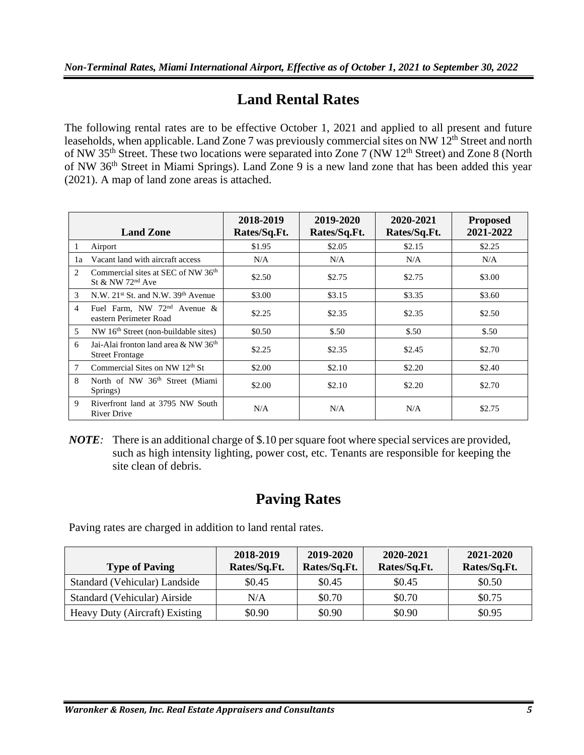## **Land Rental Rates**

The following rental rates are to be effective October 1, 2021 and applied to all present and future leaseholds, when applicable. Land Zone 7 was previously commercial sites on NW 12<sup>th</sup> Street and north of NW 35<sup>th</sup> Street. These two locations were separated into Zone 7 (NW 12<sup>th</sup> Street) and Zone 8 (North of NW 36<sup>th</sup> Street in Miami Springs). Land Zone 9 is a new land zone that has been added this year (2021). A map of land zone areas is attached.

|               | <b>Land Zone</b>                                                               | 2018-2019<br>Rates/Sq.Ft. | 2019-2020<br>Rates/Sq.Ft. | 2020-2021<br>Rates/Sq.Ft. | <b>Proposed</b><br>2021-2022 |
|---------------|--------------------------------------------------------------------------------|---------------------------|---------------------------|---------------------------|------------------------------|
| 1             | Airport                                                                        | \$1.95                    | \$2.05                    | \$2.15                    | \$2.25                       |
| 1a            | Vacant land with aircraft access                                               | N/A                       | N/A                       | N/A                       | N/A                          |
| 2             | Commercial sites at SEC of NW 36 <sup>th</sup><br>St & NW 72 <sup>nd</sup> Ave | \$2.50                    | \$2.75                    | \$2.75                    | \$3.00                       |
| $\mathcal{F}$ | N.W. $21^{st}$ St. and N.W. $39^{th}$ Avenue                                   | \$3.00                    | \$3.15                    | \$3.35                    | \$3.60                       |
| 4             | Fuel Farm, NW $72nd$ Avenue &<br>eastern Perimeter Road                        | \$2.25                    | \$2.35                    | \$2.35                    | \$2.50                       |
| 5             | NW 16 <sup>th</sup> Street (non-buildable sites)                               | \$0.50                    | \$.50                     | \$.50                     | \$.50                        |
| 6             | Jai-Alai fronton land area & NW 36 <sup>th</sup><br><b>Street Frontage</b>     | \$2.25                    | \$2.35                    | \$2.45                    | \$2.70                       |
| 7             | Commercial Sites on NW 12 <sup>th</sup> St                                     | \$2.00                    | \$2.10                    | \$2.20                    | \$2.40                       |
| 8             | North of NW 36 <sup>th</sup> Street (Miami<br>Springs)                         | \$2.00                    | \$2.10                    | \$2.20                    | \$2.70                       |
| 9             | Riverfront land at 3795 NW South<br>River Drive                                | N/A                       | N/A                       | N/A                       | \$2.75                       |

*NOTE:* There is an additional charge of \$.10 per square foot where special services are provided, such as high intensity lighting, power cost, etc. Tenants are responsible for keeping the site clean of debris.

## **Paving Rates**

Paving rates are charged in addition to land rental rates.

| <b>Type of Paving</b>          | 2018-2019<br>Rates/Sq.Ft. | 2019-2020<br>Rates/Sq.Ft. | 2020-2021<br>Rates/Sq.Ft. | 2021-2020<br>Rates/Sq.Ft. |
|--------------------------------|---------------------------|---------------------------|---------------------------|---------------------------|
| Standard (Vehicular) Landside  | \$0.45                    | \$0.45                    | \$0.45                    | \$0.50                    |
| Standard (Vehicular) Airside   | N/A                       | \$0.70                    | \$0.70                    | \$0.75                    |
| Heavy Duty (Aircraft) Existing | \$0.90                    | \$0.90                    | \$0.90                    | \$0.95                    |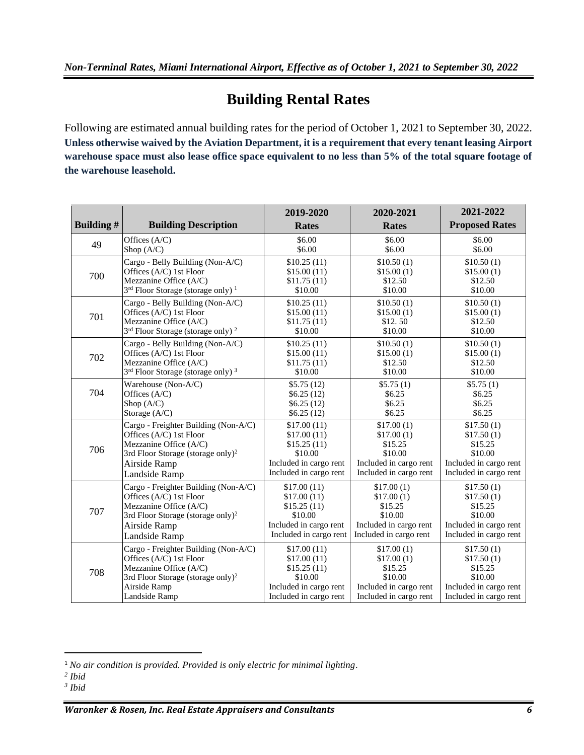# **Building Rental Rates**

Following are estimated annual building rates for the period of October 1, 2021 to September 30, 2022. **Unless otherwise waived by the Aviation Department, it is a requirement that every tenant leasing Airport warehouse space must also lease office space equivalent to no less than 5% of the total square footage of the warehouse leasehold.**

| <b>Building#</b> | <b>Building Description</b>                               | 2019-2020<br><b>Rates</b> | 2020-2021<br><b>Rates</b> | 2021-2022<br><b>Proposed Rates</b> |
|------------------|-----------------------------------------------------------|---------------------------|---------------------------|------------------------------------|
|                  |                                                           |                           |                           |                                    |
| 49               | Offices (A/C)                                             | \$6.00                    | \$6.00                    | \$6.00                             |
|                  | Shop $(A/C)$                                              | \$6.00                    | \$6.00                    | \$6.00                             |
| 700              | Cargo - Belly Building (Non-A/C)                          | \$10.25(11)               | \$10.50(1)                | \$10.50(1)                         |
|                  | Offices (A/C) 1st Floor                                   | \$15.00(11)               | \$15.00(1)                | \$15.00(1)                         |
|                  | Mezzanine Office (A/C)                                    | \$11.75(11)               | \$12.50                   | \$12.50                            |
|                  | 3rd Floor Storage (storage only) <sup>1</sup>             | \$10.00                   | \$10.00                   | \$10.00                            |
| 701              | Cargo - Belly Building (Non-A/C)                          | \$10.25(11)               | \$10.50(1)                | \$10.50(1)                         |
|                  | Offices (A/C) 1st Floor                                   | \$15.00(11)               | \$15.00(1)                | \$15.00(1)                         |
|                  | Mezzanine Office (A/C)                                    | \$11.75(11)               | \$12.50                   | \$12.50                            |
|                  | 3 <sup>rd</sup> Floor Storage (storage only) <sup>2</sup> | \$10.00                   | \$10.00                   | \$10.00                            |
| 702              | Cargo - Belly Building (Non-A/C)                          | \$10.25(11)               | \$10.50(1)                | \$10.50(1)                         |
|                  | Offices (A/C) 1st Floor                                   | \$15.00(11)               | \$15.00(1)                | \$15.00(1)                         |
|                  | Mezzanine Office (A/C)                                    | \$11.75(11)               | \$12.50                   | \$12.50                            |
|                  | 3rd Floor Storage (storage only) <sup>3</sup>             | \$10.00                   | \$10.00                   | \$10.00                            |
| 704              | Warehouse (Non-A/C)                                       | \$5.75(12)                | \$5.75(1)                 | \$5.75(1)                          |
|                  | Offices (A/C)                                             | \$6.25(12)                | \$6.25                    | \$6.25                             |
|                  | Shop $(A/C)$                                              | \$6.25(12)                | \$6.25                    | \$6.25                             |
|                  | Storage (A/C)                                             | \$6.25(12)                | \$6.25                    | \$6.25                             |
| 706              | Cargo - Freighter Building (Non-A/C)                      | \$17.00(11)               | \$17.00(1)                | \$17.50(1)                         |
|                  | Offices (A/C) 1st Floor                                   | \$17.00(11)               | \$17.00(1)                | \$17.50(1)                         |
|                  | Mezzanine Office (A/C)                                    | \$15.25(11)               | \$15.25                   | \$15.25                            |
|                  | 3rd Floor Storage (storage only) <sup>2</sup>             | \$10.00                   | \$10.00                   | \$10.00                            |
|                  | Airside Ramp                                              | Included in cargo rent    | Included in cargo rent    | Included in cargo rent             |
|                  | Landside Ramp                                             | Included in cargo rent    | Included in cargo rent    | Included in cargo rent             |
| 707              | Cargo - Freighter Building (Non-A/C)                      | \$17.00(11)               | \$17.00(1)                | \$17.50(1)                         |
|                  | Offices (A/C) 1st Floor                                   | \$17.00(11)               | \$17.00(1)                | \$17.50(1)                         |
|                  | Mezzanine Office (A/C)                                    | \$15.25(11)               | \$15.25                   | \$15.25                            |
|                  | 3rd Floor Storage (storage only) <sup>2</sup>             | \$10.00                   | \$10.00                   | \$10.00                            |
|                  | Airside Ramp                                              | Included in cargo rent    | Included in cargo rent    | Included in cargo rent             |
|                  | Landside Ramp                                             | Included in cargo rent    | Included in cargo rent    | Included in cargo rent             |
| 708              | Cargo - Freighter Building (Non-A/C)                      | \$17.00(11)               | \$17.00(1)                | \$17.50(1)                         |
|                  | Offices (A/C) 1st Floor                                   | \$17.00(11)               | \$17.00(1)                | \$17.50(1)                         |
|                  | Mezzanine Office (A/C)                                    | \$15.25(11)               | \$15.25                   | \$15.25                            |
|                  | 3rd Floor Storage (storage only) <sup>2</sup>             | \$10.00                   | \$10.00                   | \$10.00                            |
|                  | Airside Ramp                                              | Included in cargo rent    | Included in cargo rent    | Included in cargo rent             |
|                  | Landside Ramp                                             | Included in cargo rent    | Included in cargo rent    | Included in cargo rent             |

*Waronker & Rosen, Inc. Real Estate Appraisers and Consultants 6*

<sup>1</sup> *No air condition is provided. Provided is only electric for minimal lighting*.

*<sup>2</sup> Ibid*

*<sup>3</sup> Ibid*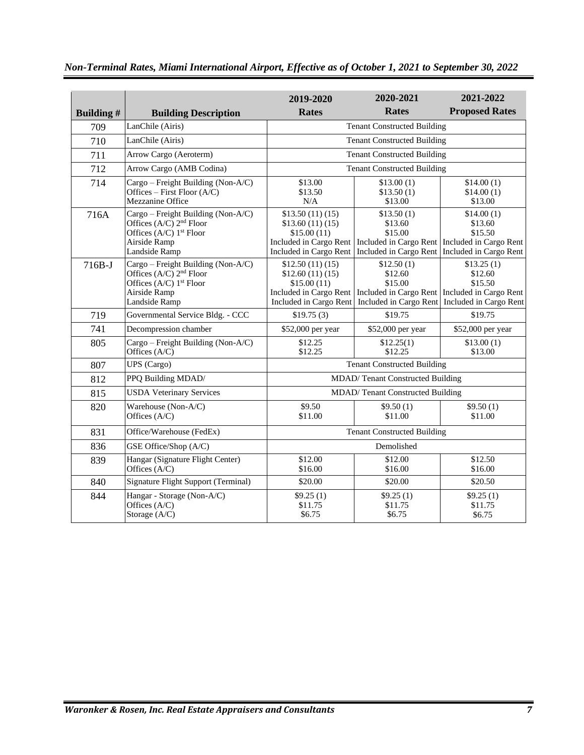|                  |                                                                                                                                                     | 2019-2020                                                                                             | 2020-2021                                                  | 2021-2022                                                                                                                              |
|------------------|-----------------------------------------------------------------------------------------------------------------------------------------------------|-------------------------------------------------------------------------------------------------------|------------------------------------------------------------|----------------------------------------------------------------------------------------------------------------------------------------|
| <b>Building#</b> | <b>Building Description</b>                                                                                                                         | <b>Rates</b>                                                                                          | <b>Rates</b>                                               | <b>Proposed Rates</b>                                                                                                                  |
| 709              | LanChile (Airis)                                                                                                                                    | <b>Tenant Constructed Building</b>                                                                    |                                                            |                                                                                                                                        |
| 710              | LanChile (Airis)                                                                                                                                    |                                                                                                       | <b>Tenant Constructed Building</b>                         |                                                                                                                                        |
| 711              | Arrow Cargo (Aeroterm)                                                                                                                              |                                                                                                       | <b>Tenant Constructed Building</b>                         |                                                                                                                                        |
| 712              | Arrow Cargo (AMB Codina)                                                                                                                            |                                                                                                       | <b>Tenant Constructed Building</b>                         |                                                                                                                                        |
| 714              | Cargo – Freight Building (Non-A/C)<br>Offices - First Floor (A/C)<br>Mezzanine Office                                                               | \$13.00<br>\$13.50<br>N/A                                                                             | \$13.00(1)<br>\$13.50(1)<br>\$13.00                        | \$14.00(1)<br>\$14.00(1)<br>\$13.00                                                                                                    |
| 716A             | Cargo - Freight Building (Non-A/C)<br>Offices $(A/C)$ 2 <sup>nd</sup> Floor<br>Offices (A/C) 1 <sup>st</sup> Floor<br>Airside Ramp<br>Landside Ramp | \$13.50(11)(15)<br>\$13.60(11)(15)<br>\$15.00(11)<br>Included in Cargo Rent<br>Included in Cargo Rent | \$13.50(1)<br>\$13.60<br>\$15.00<br>Included in Cargo Rent | \$14.00(1)<br>\$13.60<br>\$15.50<br>Included in Cargo Rent   Included in Cargo Rent<br>Included in Cargo Rent                          |
| $716B-J$         | Cargo - Freight Building (Non-A/C)<br>Offices $(A/C)$ 2 <sup>nd</sup> Floor<br>Offices (A/C) 1 <sup>st</sup> Floor<br>Airside Ramp<br>Landside Ramp | \$12.50(11)(15)<br>\$12.60(11)(15)<br>\$15.00(11)<br>Included in Cargo Rent<br>Included in Cargo Rent | \$12.50(1)<br>\$12.60<br>\$15.00                           | \$13.25(1)<br>\$12.60<br>\$15.50<br>Included in Cargo Rent   Included in Cargo Rent<br>Included in Cargo Rent   Included in Cargo Rent |
| 719              | Governmental Service Bldg. - CCC                                                                                                                    | \$19.75(3)                                                                                            | \$19.75                                                    | \$19.75                                                                                                                                |
| 741              | Decompression chamber                                                                                                                               | \$52,000 per year                                                                                     | \$52,000 per year                                          | \$52,000 per year                                                                                                                      |
| 805              | Cargo - Freight Building (Non-A/C)<br>Offices (A/C)                                                                                                 | \$12.25<br>\$12.25                                                                                    | \$12.25(1)<br>\$12.25                                      | \$13.00(1)<br>\$13.00                                                                                                                  |
| 807              | UPS (Cargo)                                                                                                                                         |                                                                                                       | <b>Tenant Constructed Building</b>                         |                                                                                                                                        |
| 812              | PPQ Building MDAD/                                                                                                                                  |                                                                                                       | MDAD/Tenant Constructed Building                           |                                                                                                                                        |
| 815              | <b>USDA Veterinary Services</b>                                                                                                                     |                                                                                                       | MDAD/Tenant Constructed Building                           |                                                                                                                                        |
| 820              | Warehouse (Non-A/C)<br>Offices (A/C)                                                                                                                | \$9.50<br>\$11.00                                                                                     | \$9.50(1)<br>\$11.00                                       | \$9.50(1)<br>\$11.00                                                                                                                   |
| 831              | Office/Warehouse (FedEx)                                                                                                                            |                                                                                                       | <b>Tenant Constructed Building</b>                         |                                                                                                                                        |
| 836              | GSE Office/Shop (A/C)                                                                                                                               | Demolished                                                                                            |                                                            |                                                                                                                                        |
| 839              | Hangar (Signature Flight Center)<br>Offices (A/C)                                                                                                   | \$12.00<br>\$16.00                                                                                    | \$12.00<br>\$16.00                                         | \$12.50<br>\$16.00                                                                                                                     |
| 840              | <b>Signature Flight Support (Terminal)</b>                                                                                                          | \$20.00                                                                                               | \$20.00                                                    | \$20.50                                                                                                                                |
| 844              | Hangar - Storage (Non-A/C)<br>Offices $(A/C)$<br>Storage (A/C)                                                                                      | \$9.25(1)<br>\$11.75<br>\$6.75                                                                        | \$9.25(1)<br>\$11.75<br>\$6.75                             | \$9.25(1)<br>\$11.75<br>\$6.75                                                                                                         |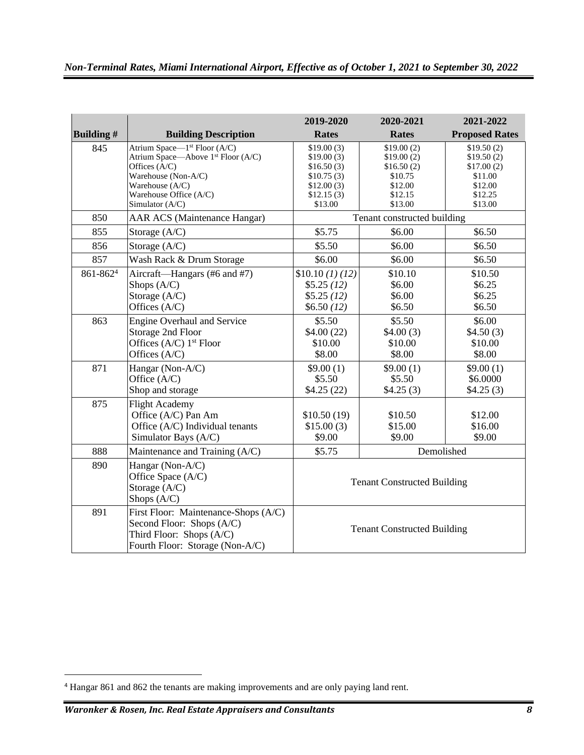|                                             |                                                | 2019-2020                          | 2020-2021                   | 2021-2022             |
|---------------------------------------------|------------------------------------------------|------------------------------------|-----------------------------|-----------------------|
| <b>Building#</b>                            | <b>Building Description</b>                    | <b>Rates</b>                       | <b>Rates</b>                | <b>Proposed Rates</b> |
| 845                                         | Atrium Space-1 <sup>st</sup> Floor (A/C)       | \$19.00(3)                         | \$19.00(2)                  | \$19.50(2)            |
|                                             | Atrium Space—Above 1 <sup>st</sup> Floor (A/C) | \$19.00(3)                         | \$19.00(2)                  | \$19.50(2)            |
|                                             | Offices (A/C)                                  | \$16.50(3)                         | \$16.50(2)                  | \$17.00(2)            |
|                                             | Warehouse (Non-A/C)<br>Warehouse (A/C)         | \$10.75(3)<br>\$12.00(3)           | \$10.75<br>\$12.00          | \$11.00<br>\$12.00    |
|                                             | Warehouse Office (A/C)                         | \$12.15(3)                         | \$12.15                     | \$12.25               |
|                                             | Simulator (A/C)                                | \$13.00                            | \$13.00                     | \$13.00               |
| 850                                         | <b>AAR ACS (Maintenance Hangar)</b>            |                                    | Tenant constructed building |                       |
| 855                                         | Storage (A/C)                                  | \$5.75                             | \$6.00                      | \$6.50                |
| 856                                         | Storage (A/C)                                  | \$5.50                             | \$6.00                      | \$6.50                |
| 857                                         | Wash Rack & Drum Storage                       | \$6.00                             | \$6.00                      | \$6.50                |
| 861-8624                                    | Aircraft—Hangars (#6 and #7)                   | \$10.10 <sub>(1)(12)</sub>         | \$10.10                     | \$10.50               |
|                                             | Shops $(A/C)$                                  | \$5.25(12)                         | \$6.00                      | \$6.25                |
|                                             | Storage (A/C)                                  | \$5.25(12)                         | \$6.00                      | \$6.25                |
|                                             | Offices (A/C)                                  | \$6.50(12)                         | \$6.50                      | \$6.50                |
| 863                                         | <b>Engine Overhaul and Service</b>             | \$5.50                             | \$5.50                      | \$6.00                |
|                                             | Storage 2nd Floor                              | \$4.00(22)                         | \$4.00(3)                   | \$4.50(3)             |
|                                             | Offices (A/C) 1 <sup>st</sup> Floor            | \$10.00                            | \$10.00                     | \$10.00               |
|                                             | Offices (A/C)                                  | \$8.00                             | \$8.00                      | \$8.00                |
| 871                                         | Hangar (Non-A/C)                               | \$9.00(1)                          | \$9.00(1)                   | \$9.00(1)             |
|                                             | Office (A/C)                                   | \$5.50                             | \$5.50                      | \$6.0000              |
|                                             | Shop and storage                               | \$4.25(22)                         | \$4.25(3)                   | \$4.25(3)             |
| 875                                         | <b>Flight Academy</b>                          |                                    |                             |                       |
|                                             | Office (A/C) Pan Am                            | \$10.50(19)                        | \$10.50                     | \$12.00               |
|                                             | Office (A/C) Individual tenants                | \$15.00(3)                         | \$15.00                     | \$16.00               |
|                                             | Simulator Bays (A/C)                           | \$9.00                             | \$9.00                      | \$9.00                |
| 888                                         | Maintenance and Training (A/C)                 | \$5.75                             | Demolished                  |                       |
| 890                                         | Hangar (Non-A/C)                               |                                    |                             |                       |
|                                             | Office Space (A/C)                             | <b>Tenant Constructed Building</b> |                             |                       |
|                                             | Storage (A/C)                                  |                                    |                             |                       |
| Shops (A/C)                                 |                                                |                                    |                             |                       |
| 891<br>First Floor: Maintenance-Shops (A/C) |                                                |                                    |                             |                       |
|                                             | Second Floor: Shops (A/C)                      | <b>Tenant Constructed Building</b> |                             |                       |
|                                             | Third Floor: Shops (A/C)                       |                                    |                             |                       |
|                                             | Fourth Floor: Storage (Non-A/C)                |                                    |                             |                       |

<sup>4</sup> Hangar 861 and 862 the tenants are making improvements and are only paying land rent.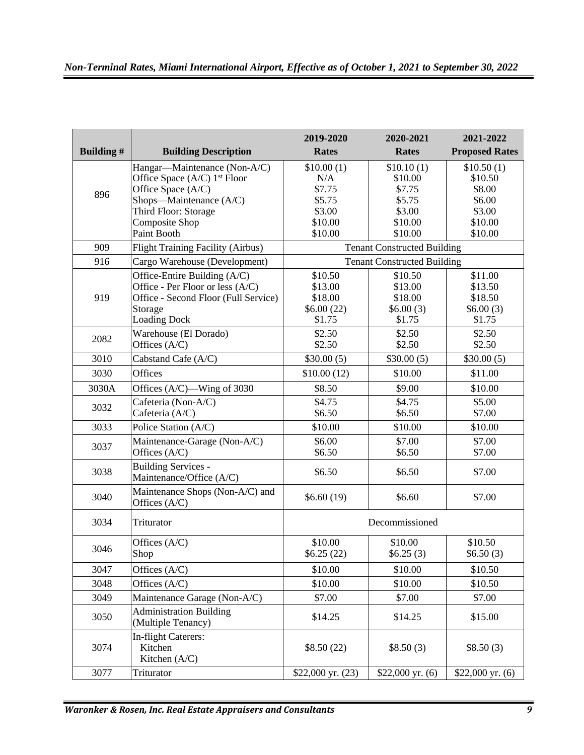|                  |                                                        | 2019-2020             | 2020-2021                          | 2021-2022             |
|------------------|--------------------------------------------------------|-----------------------|------------------------------------|-----------------------|
| <b>Building#</b> | <b>Building Description</b>                            | <b>Rates</b>          | Rates                              | <b>Proposed Rates</b> |
|                  | Hangar—Maintenance (Non-A/C)                           | \$10.00(1)            | \$10.10(1)                         | \$10.50(1)            |
|                  | Office Space (A/C) 1 <sup>st</sup> Floor               | N/A                   | \$10.00                            | \$10.50               |
| 896              | Office Space (A/C)                                     | \$7.75                | \$7.75                             | \$8.00                |
|                  | Shops-Maintenance (A/C)                                | \$5.75                | \$5.75                             | \$6.00                |
|                  | Third Floor: Storage                                   | \$3.00                | \$3.00                             | \$3.00                |
|                  | Composite Shop                                         | \$10.00               | \$10.00                            | \$10.00               |
|                  | Paint Booth                                            | \$10.00               | \$10.00                            | \$10.00               |
| 909              | Flight Training Facility (Airbus)                      |                       | <b>Tenant Constructed Building</b> |                       |
| 916              | Cargo Warehouse (Development)                          |                       | <b>Tenant Constructed Building</b> |                       |
|                  | Office-Entire Building (A/C)                           | \$10.50               | \$10.50                            | \$11.00               |
|                  | Office - Per Floor or less (A/C)                       | \$13.00               | \$13.00                            | \$13.50               |
| 919              | Office - Second Floor (Full Service)                   | \$18.00               | \$18.00                            | \$18.50               |
|                  | Storage                                                | \$6.00(22)            | \$6.00(3)                          | \$6.00(3)             |
|                  | <b>Loading Dock</b>                                    | \$1.75                | \$1.75                             | \$1.75                |
| 2082             | Warehouse (El Dorado)                                  | \$2.50                | \$2.50                             | \$2.50                |
|                  | Offices (A/C)                                          | \$2.50                | \$2.50                             | \$2.50                |
| 3010             | Cabstand Cafe (A/C)                                    | \$30.00(5)            | \$30.00(5)                         | \$30.00(5)            |
| 3030             | Offices                                                | \$10.00(12)           | \$10.00                            | \$11.00               |
| 3030A            | Offices (A/C)—Wing of 3030                             | \$8.50                | \$9.00                             | \$10.00               |
| 3032             | Cafeteria (Non-A/C)                                    | \$4.75                | \$4.75                             | \$5.00                |
|                  | Cafeteria (A/C)                                        | \$6.50                | \$6.50                             | \$7.00                |
| 3033             | Police Station (A/C)                                   | \$10.00               | \$10.00                            | \$10.00               |
| 3037             | Maintenance-Garage (Non-A/C)                           | \$6.00                | \$7.00                             | \$7.00                |
|                  | Offices (A/C)                                          | \$6.50                | \$6.50                             | \$7.00                |
| 3038             | <b>Building Services -</b><br>Maintenance/Office (A/C) | \$6.50                | \$6.50                             | \$7.00                |
| 3040             | Maintenance Shops (Non-A/C) and<br>Offices (A/C)       | \$6.60(19)            | \$6.60                             | \$7.00                |
| 3034             | Triturator                                             | Decommissioned        |                                    |                       |
| 3046             | Offices $(A/C)$<br>Shop                                | \$10.00<br>\$6.25(22) | \$10.00<br>\$6.25(3)               | \$10.50<br>\$6.50(3)  |
| 3047             | Offices $(A/C)$                                        | \$10.00               | \$10.00                            | \$10.50               |
| 3048             | Offices (A/C)                                          | \$10.00               | \$10.00                            | \$10.50               |
| 3049             | Maintenance Garage (Non-A/C)                           | \$7.00                | \$7.00                             | \$7.00                |
| 3050             | <b>Administration Building</b><br>(Multiple Tenancy)   | \$14.25               | \$14.25                            | \$15.00               |
| 3074             | In-flight Caterers:<br>Kitchen<br>Kitchen (A/C)        | \$8.50(22)            | \$8.50(3)                          | \$8.50(3)             |
| 3077             | Triturator                                             | $$22,000$ yr. $(23)$  | \$22,000 yr. $(6)$                 | \$22,000 yr. $(6)$    |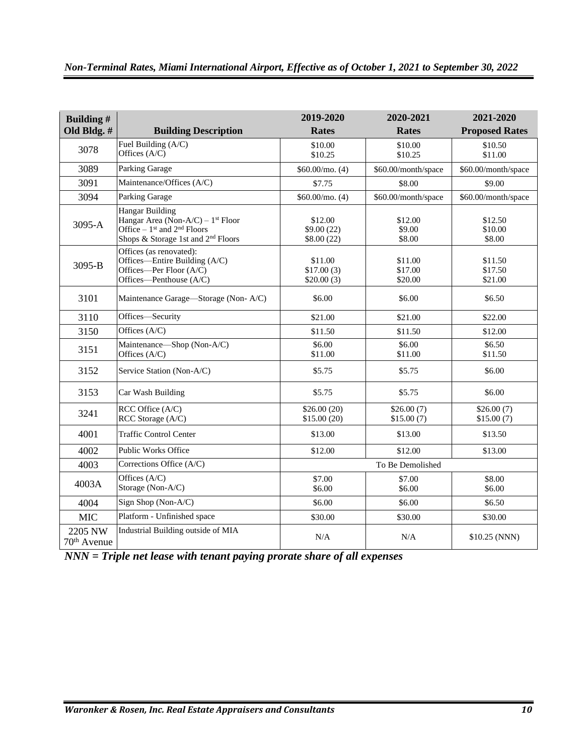| Building #<br>Old Bldg. #          | <b>Building Description</b>                                                                                                                                   | 2019-2020<br><b>Rates</b>           | 2020-2021<br><b>Rates</b>     | 2021-2020<br><b>Proposed Rates</b> |
|------------------------------------|---------------------------------------------------------------------------------------------------------------------------------------------------------------|-------------------------------------|-------------------------------|------------------------------------|
| 3078                               | Fuel Building (A/C)<br>Offices (A/C)                                                                                                                          | \$10.00<br>\$10.25                  | \$10.00<br>\$10.25            | \$10.50<br>\$11.00                 |
| 3089                               | Parking Garage                                                                                                                                                | \$60.00/mo. (4)                     | \$60.00/month/space           | \$60.00/month/space                |
| 3091                               | Maintenance/Offices (A/C)                                                                                                                                     | \$7.75                              | \$8.00                        | \$9.00                             |
| 3094                               | Parking Garage                                                                                                                                                | $$60.00/m$ o. (4)                   | \$60.00/month/space           | \$60.00/month/space                |
| 3095-A                             | <b>Hangar Building</b><br>Hangar Area (Non-A/C) – $1st$ Floor<br>Office $-1$ <sup>st</sup> and $2nd$ Floors<br>Shops & Storage 1st and 2 <sup>nd</sup> Floors | \$12.00<br>\$9.00(22)<br>\$8.00(22) | \$12.00<br>\$9.00<br>\$8.00   | \$12.50<br>\$10.00<br>\$8.00       |
| 3095-B                             | Offices (as renovated):<br>Offices—Entire Building (A/C)<br>Offices—Per Floor $(A/C)$<br>Offices-Penthouse (A/C)                                              | \$11.00<br>\$17.00(3)<br>\$20.00(3) | \$11.00<br>\$17.00<br>\$20.00 | \$11.50<br>\$17.50<br>\$21.00      |
| 3101                               | Maintenance Garage-Storage (Non-A/C)                                                                                                                          | \$6.00                              | \$6.00                        | \$6.50                             |
| 3110                               | Offices-Security                                                                                                                                              | \$21.00                             | \$21.00                       | \$22.00                            |
| 3150                               | Offices (A/C)                                                                                                                                                 | \$11.50                             | \$11.50                       | \$12.00                            |
| 3151                               | Maintenance-Shop (Non-A/C)<br>Offices (A/C)                                                                                                                   | \$6.00<br>\$11.00                   | \$6.00<br>\$11.00             | \$6.50<br>\$11.50                  |
| 3152                               | Service Station (Non-A/C)                                                                                                                                     | \$5.75                              | \$5.75                        | \$6.00                             |
| 3153                               | Car Wash Building                                                                                                                                             | \$5.75                              | \$5.75                        | \$6.00                             |
| 3241                               | RCC Office (A/C)<br>RCC Storage (A/C)                                                                                                                         | \$26.00(20)<br>\$15.00(20)          | \$26.00(7)<br>\$15.00(7)      | \$26.00(7)<br>\$15.00(7)           |
| 4001                               | <b>Traffic Control Center</b>                                                                                                                                 | \$13.00                             | \$13.00                       | \$13.50                            |
| 4002                               | <b>Public Works Office</b>                                                                                                                                    | \$12.00                             | \$12.00                       | \$13.00                            |
| 4003                               | Corrections Office (A/C)                                                                                                                                      |                                     | To Be Demolished              |                                    |
| 4003A                              | Offices (A/C)<br>Storage (Non-A/C)                                                                                                                            | \$7.00<br>\$6.00                    | \$7.00<br>\$6.00              | \$8.00<br>\$6.00                   |
| 4004                               | Sign Shop (Non-A/C)                                                                                                                                           | \$6.00                              | \$6.00                        | \$6.50                             |
| <b>MIC</b>                         | Platform - Unfinished space                                                                                                                                   | \$30.00                             | \$30.00                       | \$30.00                            |
| 2205 NW<br>70 <sup>th</sup> Avenue | Industrial Building outside of MIA                                                                                                                            | N/A                                 | N/A                           | \$10.25 (NNN)                      |

*NNN = Triple net lease with tenant paying prorate share of all expenses*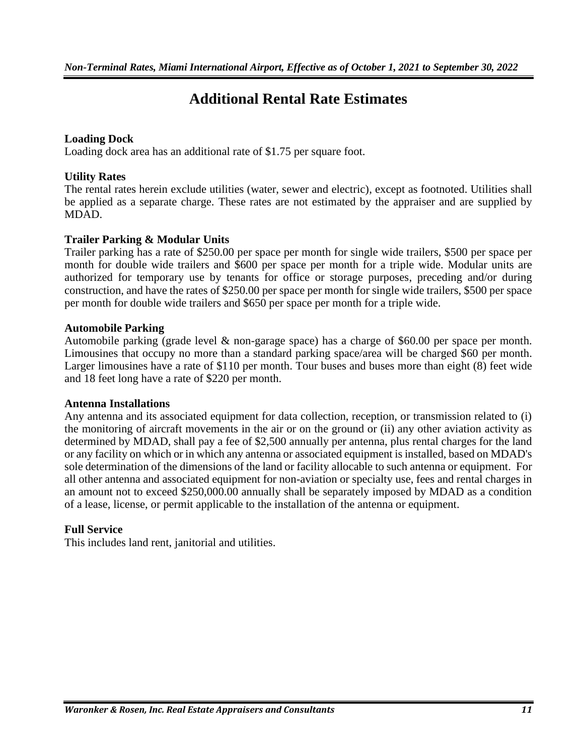# **Additional Rental Rate Estimates**

#### **Loading Dock**

Loading dock area has an additional rate of \$1.75 per square foot.

#### **Utility Rates**

The rental rates herein exclude utilities (water, sewer and electric), except as footnoted. Utilities shall be applied as a separate charge. These rates are not estimated by the appraiser and are supplied by MDAD.

#### **Trailer Parking & Modular Units**

Trailer parking has a rate of \$250.00 per space per month for single wide trailers, \$500 per space per month for double wide trailers and \$600 per space per month for a triple wide. Modular units are authorized for temporary use by tenants for office or storage purposes, preceding and/or during construction, and have the rates of \$250.00 per space per month for single wide trailers, \$500 per space per month for double wide trailers and \$650 per space per month for a triple wide.

#### **Automobile Parking**

Automobile parking (grade level & non-garage space) has a charge of \$60.00 per space per month. Limousines that occupy no more than a standard parking space/area will be charged \$60 per month. Larger limousines have a rate of \$110 per month. Tour buses and buses more than eight (8) feet wide and 18 feet long have a rate of \$220 per month.

#### **Antenna Installations**

Any antenna and its associated equipment for data collection, reception, or transmission related to (i) the monitoring of aircraft movements in the air or on the ground or (ii) any other aviation activity as determined by MDAD, shall pay a fee of \$2,500 annually per antenna, plus rental charges for the land or any facility on which or in which any antenna or associated equipment is installed, based on MDAD's sole determination of the dimensions of the land or facility allocable to such antenna or equipment. For all other antenna and associated equipment for non-aviation or specialty use, fees and rental charges in an amount not to exceed \$250,000.00 annually shall be separately imposed by MDAD as a condition of a lease, license, or permit applicable to the installation of the antenna or equipment.

#### **Full Service**

This includes land rent, janitorial and utilities.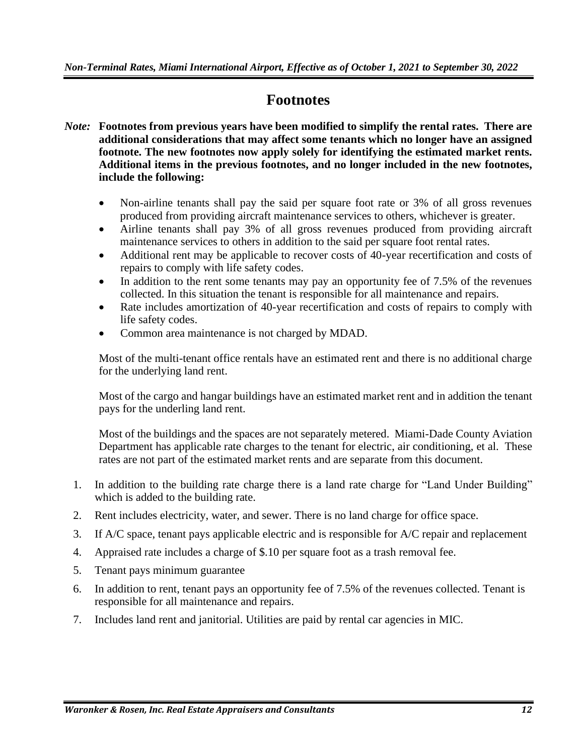### **Footnotes**

- *Note:* **Footnotes from previous years have been modified to simplify the rental rates. There are additional considerations that may affect some tenants which no longer have an assigned footnote. The new footnotes now apply solely for identifying the estimated market rents. Additional items in the previous footnotes, and no longer included in the new footnotes, include the following:**
	- Non-airline tenants shall pay the said per square foot rate or 3% of all gross revenues produced from providing aircraft maintenance services to others, whichever is greater.
	- Airline tenants shall pay 3% of all gross revenues produced from providing aircraft maintenance services to others in addition to the said per square foot rental rates.
	- Additional rent may be applicable to recover costs of 40-year recertification and costs of repairs to comply with life safety codes.
	- In addition to the rent some tenants may pay an opportunity fee of 7.5% of the revenues collected. In this situation the tenant is responsible for all maintenance and repairs.
	- Rate includes amortization of 40-year recertification and costs of repairs to comply with life safety codes.
	- Common area maintenance is not charged by MDAD.

Most of the multi-tenant office rentals have an estimated rent and there is no additional charge for the underlying land rent.

Most of the cargo and hangar buildings have an estimated market rent and in addition the tenant pays for the underling land rent.

Most of the buildings and the spaces are not separately metered. Miami-Dade County Aviation Department has applicable rate charges to the tenant for electric, air conditioning, et al. These rates are not part of the estimated market rents and are separate from this document.

- 1. In addition to the building rate charge there is a land rate charge for "Land Under Building" which is added to the building rate.
- 2. Rent includes electricity, water, and sewer. There is no land charge for office space.
- 3. If A/C space, tenant pays applicable electric and is responsible for A/C repair and replacement
- 4. Appraised rate includes a charge of \$.10 per square foot as a trash removal fee.
- 5. Tenant pays minimum guarantee
- 6. In addition to rent, tenant pays an opportunity fee of 7.5% of the revenues collected. Tenant is responsible for all maintenance and repairs.
- 7. Includes land rent and janitorial. Utilities are paid by rental car agencies in MIC.